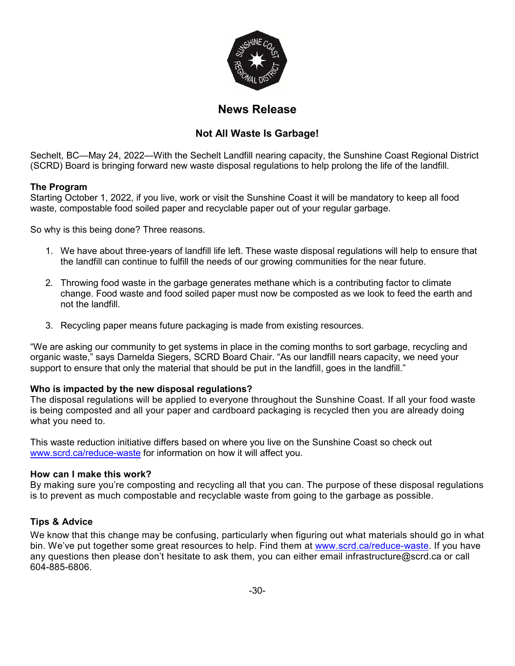

# **News Release**

## **Not All Waste Is Garbage!**

Sechelt, BC—May 24, 2022—With the Sechelt Landfill nearing capacity, the Sunshine Coast Regional District (SCRD) Board is bringing forward new waste disposal regulations to help prolong the life of the landfill.

### **The Program**

Starting October 1, 2022, if you live, work or visit the Sunshine Coast it will be mandatory to keep all food waste, compostable food soiled paper and recyclable paper out of your regular garbage.

So why is this being done? Three reasons.

- 1. We have about three-years of landfill life left. These waste disposal regulations will help to ensure that the landfill can continue to fulfill the needs of our growing communities for the near future.
- 2. Throwing food waste in the garbage generates methane which is a contributing factor to climate change. Food waste and food soiled paper must now be composted as we look to feed the earth and not the landfill.
- 3. Recycling paper means future packaging is made from existing resources.

"We are asking our community to get systems in place in the coming months to sort garbage, recycling and organic waste," says Darnelda Siegers, SCRD Board Chair. "As our landfill nears capacity, we need your support to ensure that only the material that should be put in the landfill, goes in the landfill."

#### **Who is impacted by the new disposal regulations?**

The disposal regulations will be applied to everyone throughout the Sunshine Coast. If all your food waste is being composted and all your paper and cardboard packaging is recycled then you are already doing what you need to.

This waste reduction initiative differs based on where you live on the Sunshine Coast so check out [www.scrd.ca/reduce-waste](http://www.scrd.ca/reduce-waste) for information on how it will affect you.

#### **How can I make this work?**

By making sure you're composting and recycling all that you can. The purpose of these disposal regulations is to prevent as much compostable and recyclable waste from going to the garbage as possible.

#### **Tips & Advice**

We know that this change may be confusing, particularly when figuring out what materials should go in what bin. We've put together some great resources to help. Find them at www.scrd.ca/reduce-waste. If you have any questions then please don't hesitate to ask them, you can either email infrastructure@scrd.ca or call 604-885-6806.